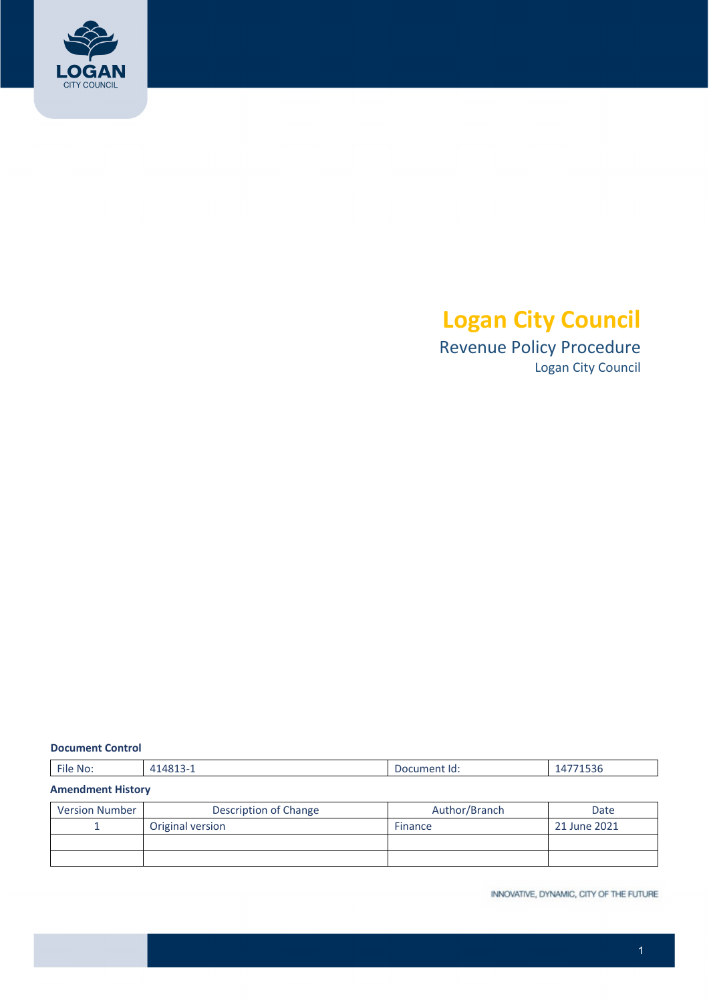

# **Logan City Council**

 Revenue Policy Procedure Logan City Council

#### **Document Control**

#### **Amendment History**

| Version Number | Description of Change | Author/Branch  | Date         |
|----------------|-----------------------|----------------|--------------|
|                | Original version      | <b>Finance</b> | 21 June 2021 |
|                |                       |                |              |
|                |                       |                |              |

INNOVATIVE, DYNAMIC, CITY OF THE FUTURE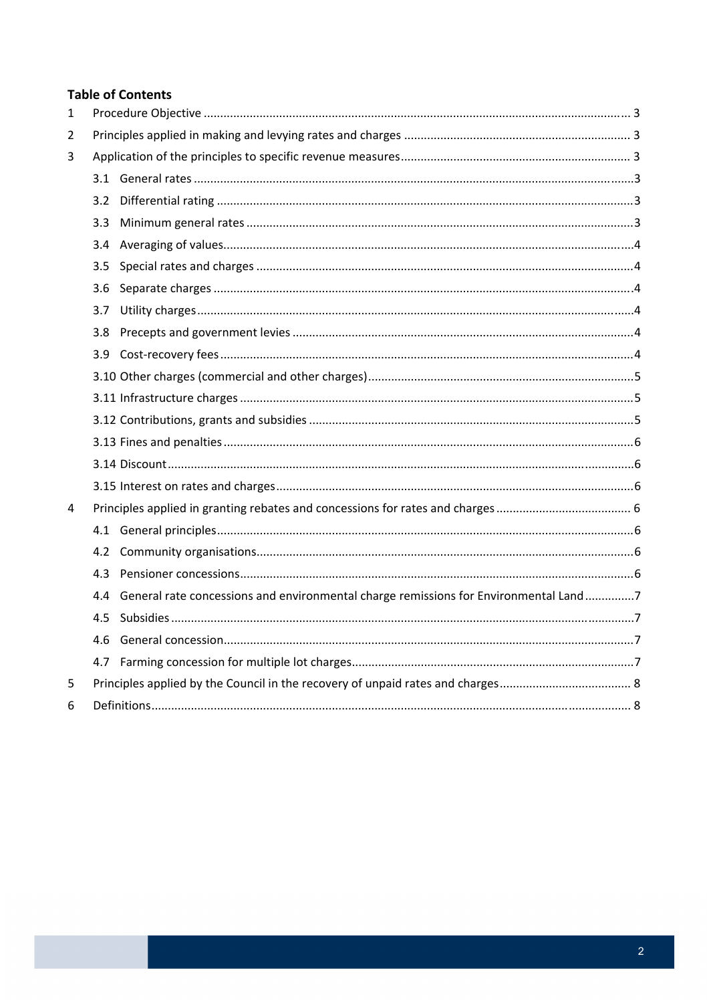# **Table of Contents**

| $\mathbf{1}$ |                  |                                                                                          |  |
|--------------|------------------|------------------------------------------------------------------------------------------|--|
| 2            |                  |                                                                                          |  |
| 3            |                  |                                                                                          |  |
|              |                  |                                                                                          |  |
|              | 3.2              |                                                                                          |  |
|              | 3.3 <sub>2</sub> |                                                                                          |  |
|              |                  |                                                                                          |  |
|              | 3.5              |                                                                                          |  |
|              | 3.6              |                                                                                          |  |
|              | 3.7              |                                                                                          |  |
|              | 3.8 <sub>1</sub> |                                                                                          |  |
|              |                  |                                                                                          |  |
|              |                  |                                                                                          |  |
|              |                  |                                                                                          |  |
|              |                  |                                                                                          |  |
|              |                  |                                                                                          |  |
|              |                  |                                                                                          |  |
|              |                  |                                                                                          |  |
| 4            |                  |                                                                                          |  |
|              |                  |                                                                                          |  |
|              |                  |                                                                                          |  |
|              | 4.3              |                                                                                          |  |
|              |                  | 4.4 General rate concessions and environmental charge remissions for Environmental Land7 |  |
|              | 4.5              |                                                                                          |  |
|              |                  |                                                                                          |  |
|              | 4.7              |                                                                                          |  |
| 5            |                  |                                                                                          |  |
| 6            |                  |                                                                                          |  |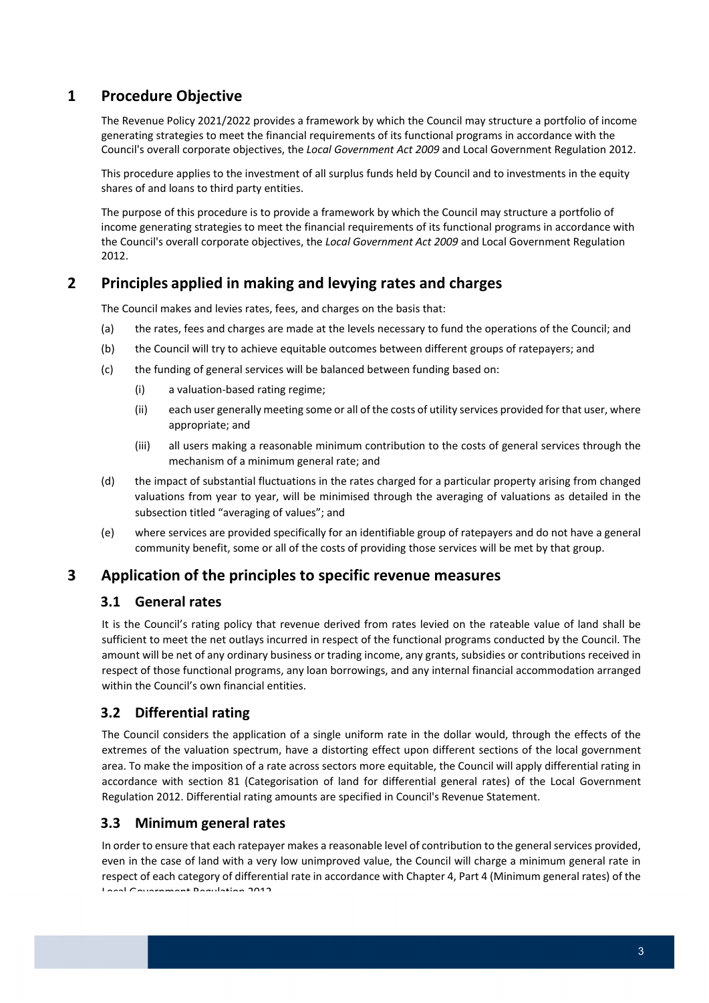# **1 Procedure Objective**

 The Revenue Policy 2021/2022 provides a framework by which the Council may structure a portfolio of income generating strategies to meet the financial requirements of its functional programs in accordance with the  Council's overall corporate objectives, the *Local Government Act 2009* and Local Government Regulation 2012.

 This procedure applies to the investment of all surplus funds held by Council and to investments in the equity shares of and loans to third party entities.

 The purpose of this procedure is to provide a framework by which the Council may structure a portfolio of income generating strategies to meet the financial requirements of its functional programs in accordance with  the Council's overall corporate objectives, the *Local Government Act 2009* and Local Government Regulation 2012.

# **2 Principles applied in making and levying rates and charges**

The Council makes and levies rates, fees, and charges on the basis that:

- (a) the rates, fees and charges are made at the levels necessary to fund the operations of the Council; and
- (b) the Council will try to achieve equitable outcomes between different groups of ratepayers; and
- (c) the funding of general services will be balanced between funding based on:
	- (i) a valuation‐based rating regime;
	- (ii) each user generally meeting some or all of the costs of utility services provided for that user, where appropriate; and
	- (iii) all users making a reasonable minimum contribution to the costs of general services through the mechanism of a minimum general rate; and
- (d) the impact of substantial fluctuations in the rates charged for a particular property arising from changed valuations from year to year, will be minimised through the averaging of valuations as detailed in the subsection titled "averaging of values"; and
- (e) where services are provided specifically for an identifiable group of ratepayers and do not have a general community benefit, some or all of the costs of providing those services will be met by that group.

# **3 Application of the principles to specific revenue measures**

#### **3.1 General rates**

 It is the Council's rating policy that revenue derived from rates levied on the rateable value of land shall be sufficient to meet the net outlays incurred in respect of the functional programs conducted by the Council. The amount will be net of any ordinary business or trading income, any grants, subsidies or contributions received in respect of those functional programs, any loan borrowings, and any internal financial accommodation arranged within the Council's own financial entities.

# **3.2 Differential rating**

 The Council considers the application of a single uniform rate in the dollar would, through the effects of the extremes of the valuation spectrum, have a distorting effect upon different sections of the local government area. To make the imposition of a rate across sectors more equitable, the Council will apply differential rating in accordance with section 81 (Categorisation of land for differential general rates) of the Local Government Regulation 2012. Differential rating amounts are specified in Council's Revenue Statement.

# **3.3 Minimum general rates**

In order to ensure that each ratepayer makes a reasonable level of contribution to the general services provided, even in the case of land with a very low unimproved value, the Council will charge a minimum general rate in respect of each category of differential rate in accordance with Chapter 4, Part 4 (Minimum general rates) of the Local Government Regulation 2012.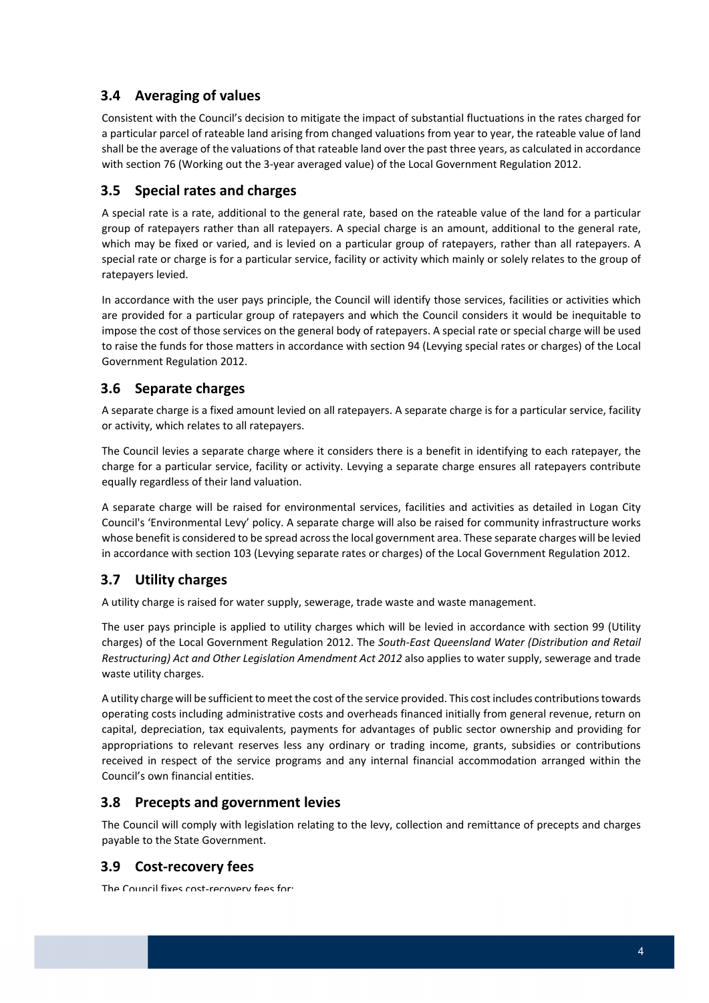# **3.4 Averaging of values**

 Consistent with the Council's decision to mitigate the impact of substantial fluctuations in the rates charged for a particular parcel of rateable land arising from changed valuations from year to year, the rateable value of land shall be the average of the valuations of that rateable land over the past three years, as calculated in accordance with section 76 (Working out the 3‐year averaged value) of the Local Government Regulation 2012.

# **3.5 Special rates and charges**

 A special rate is a rate, additional to the general rate, based on the rateable value of the land for a particular group of ratepayers rather than all ratepayers. A special charge is an amount, additional to the general rate, which may be fixed or varied, and is levied on a particular group of ratepayers, rather than all ratepayers. A special rate or charge is for a particular service, facility or activity which mainly or solely relates to the group of ratepayers levied.

 In accordance with the user pays principle, the Council will identify those services, facilities or activities which are provided for a particular group of ratepayers and which the Council considers it would be inequitable to impose the cost of those services on the general body of ratepayers. A special rate or special charge will be used to raise the funds for those matters in accordance with section 94 (Levying special rates or charges) of the Local Government Regulation 2012.

# **3.6 Separate charges**

 A separate charge is a fixed amount levied on all ratepayers. A separate charge is for a particular service, facility or activity, which relates to all ratepayers.

 The Council levies a separate charge where it considers there is a benefit in identifying to each ratepayer, the charge for a particular service, facility or activity. Levying a separate charge ensures all ratepayers contribute equally regardless of their land valuation.

 A separate charge will be raised for environmental services, facilities and activities as detailed in Logan City Council's 'Environmental Levy' policy. A separate charge will also be raised for community infrastructure works whose benefit is considered to be spread acrossthe local government area. These separate charges will be levied in accordance with section 103 (Levying separate rates or charges) of the Local Government Regulation 2012.

#### **3.7 Utility charges**

A utility charge is raised for water supply, sewerage, trade waste and waste management.

 The user pays principle is applied to utility charges which will be levied in accordance with section 99 (Utility  charges) of the Local Government Regulation 2012. The *South‐East Queensland Water (Distribution and Retail Restructuring) Act and Other Legislation Amendment Act 2012* also applies to water supply, sewerage and trade waste utility charges.

A utility charge will be sufficient to meet the cost of the service provided. This cost includes contributions towards operating costs including administrative costs and overheads financed initially from general revenue, return on capital, depreciation, tax equivalents, payments for advantages of public sector ownership and providing for appropriations to relevant reserves less any ordinary or trading income, grants, subsidies or contributions received in respect of the service programs and any internal financial accommodation arranged within the Council's own financial entities.

#### **3.8 Precepts and government levies**

 The Council will comply with legislation relating to the levy, collection and remittance of precepts and charges payable to the State Government.

# **3.9 Cost‐recovery fees**

The Council fixes cost‐recovery fees for: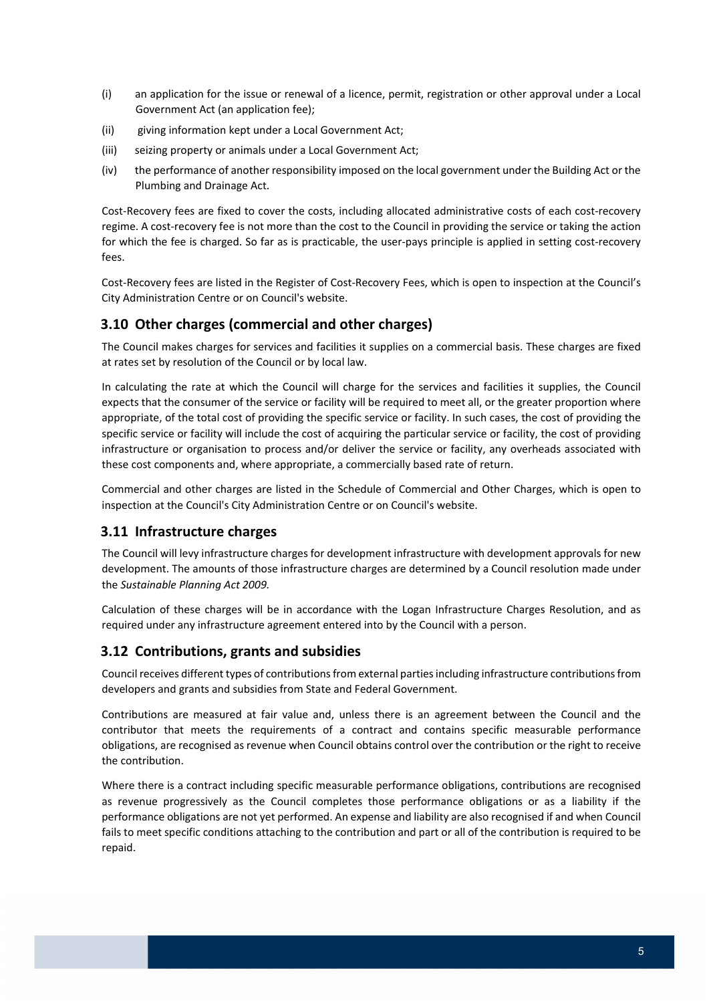- (i) an application for the issue or renewal of a licence, permit, registration or other approval under a Local Government Act (an application fee);
- (ii) giving information kept under a Local Government Act;
- (iii) seizing property or animals under a Local Government Act;
- (iv) the performance of another responsibility imposed on the local government under the Building Act or the Plumbing and Drainage Act.

 Cost‐Recovery fees are fixed to cover the costs, including allocated administrative costs of each cost‐recovery regime. A cost‐recovery fee is not more than the cost to the Council in providing the service or taking the action for which the fee is charged. So far as is practicable, the user‐pays principle is applied in setting cost‐recovery fees.

 Cost‐Recovery fees are listed in the Register of Cost‐Recovery Fees, which is open to inspection at the Council's City Administration Centre or on Council's website.

# **3.10 Other charges (commercial and other charges)**

 The Council makes charges for services and facilities it supplies on a commercial basis. These charges are fixed at rates set by resolution of the Council or by local law.

 In calculating the rate at which the Council will charge for the services and facilities it supplies, the Council expects that the consumer of the service or facility will be required to meet all, or the greater proportion where appropriate, of the total cost of providing the specific service or facility. In such cases, the cost of providing the specific service or facility will include the cost of acquiring the particular service or facility, the cost of providing infrastructure or organisation to process and/or deliver the service or facility, any overheads associated with these cost components and, where appropriate, a commercially based rate of return.

 Commercial and other charges are listed in the Schedule of Commercial and Other Charges, which is open to inspection at the Council's City Administration Centre or on Council's website.

# **3.11 Infrastructure charges**

 The Council will levy infrastructure charges for development infrastructure with development approvals for new development. The amounts of those infrastructure charges are determined by a Council resolution made under  the *Sustainable Planning Act 2009.*

 Calculation of these charges will be in accordance with the Logan Infrastructure Charges Resolution, and as required under any infrastructure agreement entered into by the Council with a person.

#### **3.12 Contributions, grants and subsidies**

Council receives different types of contributions from external parties including infrastructure contributions from developers and grants and subsidies from State and Federal Government.

 Contributions are measured at fair value and, unless there is an agreement between the Council and the contributor that meets the requirements of a contract and contains specific measurable performance obligations, are recognised as revenue when Council obtains control over the contribution or the right to receive the contribution.

 Where there is a contract including specific measurable performance obligations, contributions are recognised as revenue progressively as the Council completes those performance obligations or as a liability if the performance obligations are not yet performed. An expense and liability are also recognised if and when Council fails to meet specific conditions attaching to the contribution and part or all of the contribution is required to be repaid.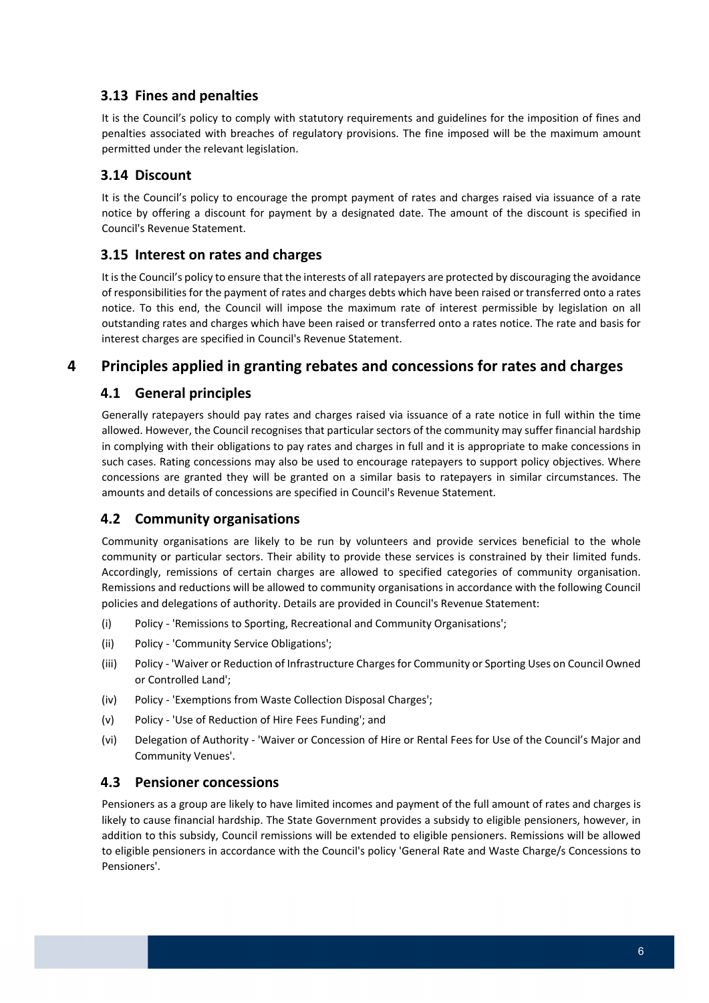# **3.13 Fines and penalties**

 It is the Council's policy to comply with statutory requirements and guidelines for the imposition of fines and penalties associated with breaches of regulatory provisions. The fine imposed will be the maximum amount permitted under the relevant legislation.

#### **3.14 Discount**

 It is the Council's policy to encourage the prompt payment of rates and charges raised via issuance of a rate notice by offering a discount for payment by a designated date. The amount of the discount is specified in Council's Revenue Statement.

### **3.15 Interest on rates and charges**

It is the Council's policy to ensure that the interests of all ratepayers are protected by discouraging the avoidance of responsibilities for the payment of rates and charges debts which have been raised or transferred onto a rates notice. To this end, the Council will impose the maximum rate of interest permissible by legislation on all outstanding rates and charges which have been raised or transferred onto a rates notice. The rate and basis for interest charges are specified in Council's Revenue Statement.

# **4 Principles applied in granting rebates and concessions for rates and charges**

# **4.1 General principles**

 Generally ratepayers should pay rates and charges raised via issuance of a rate notice in full within the time allowed. However, the Council recognises that particular sectors of the community may suffer financial hardship in complying with their obligations to pay rates and charges in full and it is appropriate to make concessions in such cases. Rating concessions may also be used to encourage ratepayers to support policy objectives. Where concessions are granted they will be granted on a similar basis to ratepayers in similar circumstances. The amounts and details of concessions are specified in Council's Revenue Statement.

# **4.2 Community organisations**

 Community organisations are likely to be run by volunteers and provide services beneficial to the whole community or particular sectors. Their ability to provide these services is constrained by their limited funds. Accordingly, remissions of certain charges are allowed to specified categories of community organisation. Remissions and reductions will be allowed to community organisations in accordance with the following Council policies and delegations of authority. Details are provided in Council's Revenue Statement:

- (i) Policy ‐ 'Remissions to Sporting, Recreational and Community Organisations';
- (ii) Policy ‐ 'Community Service Obligations';
- (iii) Policy ‐ 'Waiver or Reduction of Infrastructure Chargesfor Community or Sporting Uses on Council Owned or Controlled Land';
- (iv) Policy ‐ 'Exemptions from Waste Collection Disposal Charges';
- (v) Policy ‐ 'Use of Reduction of Hire Fees Funding'; and
- (vi) Delegation of Authority ‐ 'Waiver or Concession of Hire or Rental Fees for Use of the Council's Major and Community Venues'.

#### **4.3 Pensioner concessions**

 Pensioners as a group are likely to have limited incomes and payment of the full amount of rates and charges is likely to cause financial hardship. The State Government provides a subsidy to eligible pensioners, however, in addition to this subsidy, Council remissions will be extended to eligible pensioners. Remissions will be allowed to eligible pensioners in accordance with the Council's policy 'General Rate and Waste Charge/s Concessions to Pensioners'.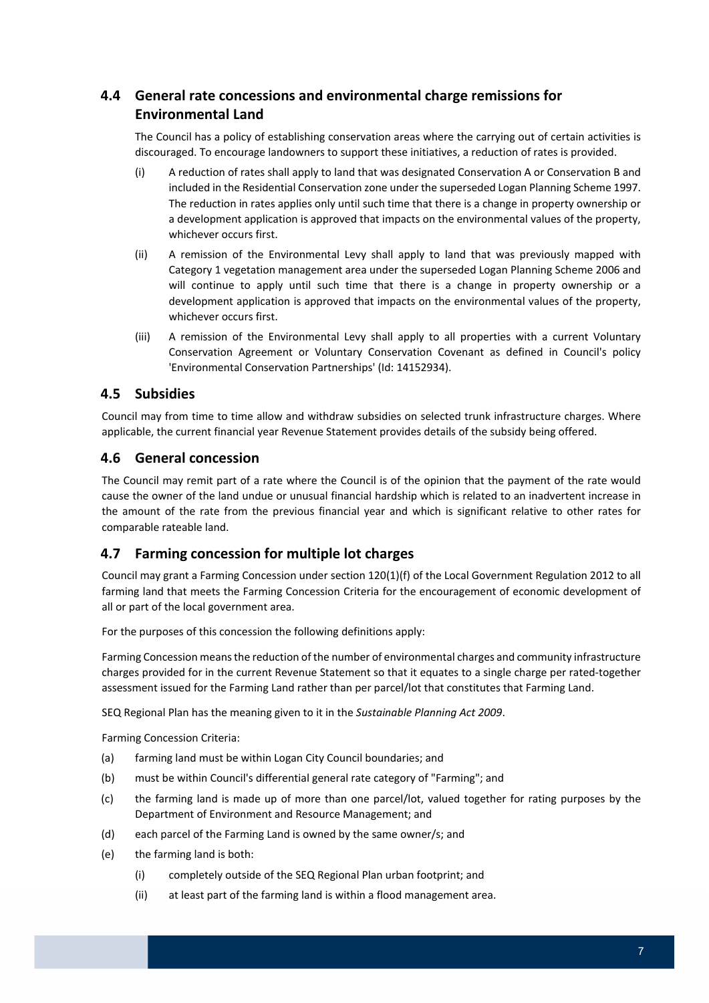# **4.4 General rate concessions and environmental charge remissions for Environmental Land**

 The Council has a policy of establishing conservation areas where the carrying out of certain activities is discouraged. To encourage landowners to support these initiatives, a reduction of rates is provided.

- (i) A reduction of rates shall apply to land that was designated Conservation A or Conservation B and included in the Residential Conservation zone under the superseded Logan Planning Scheme 1997. The reduction in rates applies only until such time that there is a change in property ownership or a development application is approved that impacts on the environmental values of the property, whichever occurs first.
- (ii) A remission of the Environmental Levy shall apply to land that was previously mapped with Category 1 vegetation management area under the superseded Logan Planning Scheme 2006 and will continue to apply until such time that there is a change in property ownership or a development application is approved that impacts on the environmental values of the property, whichever occurs first.
- (iii) A remission of the Environmental Levy shall apply to all properties with a current Voluntary Conservation Agreement or Voluntary Conservation Covenant as defined in Council's policy 'Environmental Conservation Partnerships' (Id: 14152934).

# **4.5 Subsidies**

 Council may from time to time allow and withdraw subsidies on selected trunk infrastructure charges. Where applicable, the current financial year Revenue Statement provides details of the subsidy being offered.

#### **4.6 General concession**

 The Council may remit part of a rate where the Council is of the opinion that the payment of the rate would cause the owner of the land undue or unusual financial hardship which is related to an inadvertent increase in the amount of the rate from the previous financial year and which is significant relative to other rates for comparable rateable land.

# **4.7 Farming concession for multiple lot charges**

 Council may grant a Farming Concession under section 120(1)(f) of the Local Government Regulation 2012 to all farming land that meets the Farming Concession Criteria for the encouragement of economic development of all or part of the local government area.

For the purposes of this concession the following definitions apply:

 Farming Concession meansthe reduction of the number of environmental charges and community infrastructure charges provided for in the current Revenue Statement so that it equates to a single charge per rated‐together assessment issued for the Farming Land rather than per parcel/lot that constitutes that Farming Land.

 SEQ Regional Plan has the meaning given to it in the *Sustainable Planning Act 2009*.

Farming Concession Criteria:

- (a) farming land must be within Logan City Council boundaries; and
- (b) must be within Council's differential general rate category of "Farming"; and
- (c) the farming land is made up of more than one parcel/lot, valued together for rating purposes by the Department of Environment and Resource Management; and
- (d) each parcel of the Farming Land is owned by the same owner/s; and
- (e) the farming land is both:
	- (i) completely outside of the SEQ Regional Plan urban footprint; and
	- (ii) at least part of the farming land is within a flood management area.